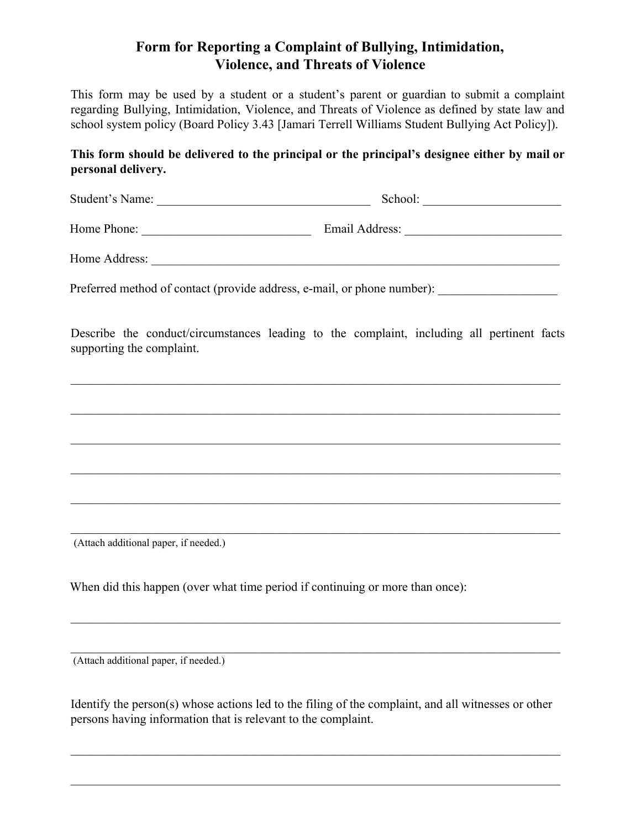## **Form for Reporting a Complaint of Bullying, Intimidation, Violence, and Threats of Violence** Form for Reporting a Complaint of Bullying, Intimidation,<br>Violence, and Threats of Violence<br>This form may be used by a student or a student's parent or guardian to submit a complaint

 regarding Bullying, Intimidation, Violence, and Threats of Violence as defined by state law and school system policy (Board Policy 3.43 [Jamari Terrell Williams Student Bullying Act Policy]).

## **This form should be delivered to the principal or the principal's designee either by mail or personal delivery.**

Student's Name: \_\_\_\_\_\_\_\_\_\_\_\_\_\_\_\_\_\_\_\_\_\_\_\_\_\_\_\_\_\_\_\_\_\_ School: \_\_\_\_\_\_\_\_\_\_\_\_\_\_\_\_\_\_\_\_\_\_

Home Phone: \_\_\_\_\_\_\_\_\_\_\_\_\_\_\_\_\_\_\_\_\_\_\_\_\_\_\_ Email Address: \_\_\_\_\_\_\_\_\_\_\_\_\_\_\_\_\_\_\_\_\_\_\_\_\_

Home Address: \_\_\_\_\_\_\_\_\_\_\_\_\_\_\_\_\_\_\_\_\_\_\_\_\_\_\_\_\_\_\_\_\_\_\_\_\_\_\_\_\_\_\_\_\_\_\_\_\_\_\_\_\_\_\_\_\_\_\_\_\_\_\_\_\_

Preferred method of contact (provide address, e-mail, or phone number): \_\_\_\_\_\_\_\_\_\_\_\_\_\_\_

 Describe the conduct/circumstances leading to the complaint, including all pertinent facts supporting the complaint.

 $\mathcal{L}_\mathcal{L} = \{ \mathcal{L}_\mathcal{L} = \{ \mathcal{L}_\mathcal{L} = \{ \mathcal{L}_\mathcal{L} = \{ \mathcal{L}_\mathcal{L} = \{ \mathcal{L}_\mathcal{L} = \{ \mathcal{L}_\mathcal{L} = \{ \mathcal{L}_\mathcal{L} = \{ \mathcal{L}_\mathcal{L} = \{ \mathcal{L}_\mathcal{L} = \{ \mathcal{L}_\mathcal{L} = \{ \mathcal{L}_\mathcal{L} = \{ \mathcal{L}_\mathcal{L} = \{ \mathcal{L}_\mathcal{L} = \{ \mathcal{L}_\mathcal{$ 

 $\mathcal{L}_\mathcal{L} = \{ \mathcal{L}_\mathcal{L} = \{ \mathcal{L}_\mathcal{L} = \{ \mathcal{L}_\mathcal{L} = \{ \mathcal{L}_\mathcal{L} = \{ \mathcal{L}_\mathcal{L} = \{ \mathcal{L}_\mathcal{L} = \{ \mathcal{L}_\mathcal{L} = \{ \mathcal{L}_\mathcal{L} = \{ \mathcal{L}_\mathcal{L} = \{ \mathcal{L}_\mathcal{L} = \{ \mathcal{L}_\mathcal{L} = \{ \mathcal{L}_\mathcal{L} = \{ \mathcal{L}_\mathcal{L} = \{ \mathcal{L}_\mathcal{$ 

 $\mathcal{L}_\mathcal{L} = \{ \mathcal{L}_\mathcal{L} = \{ \mathcal{L}_\mathcal{L} = \{ \mathcal{L}_\mathcal{L} = \{ \mathcal{L}_\mathcal{L} = \{ \mathcal{L}_\mathcal{L} = \{ \mathcal{L}_\mathcal{L} = \{ \mathcal{L}_\mathcal{L} = \{ \mathcal{L}_\mathcal{L} = \{ \mathcal{L}_\mathcal{L} = \{ \mathcal{L}_\mathcal{L} = \{ \mathcal{L}_\mathcal{L} = \{ \mathcal{L}_\mathcal{L} = \{ \mathcal{L}_\mathcal{L} = \{ \mathcal{L}_\mathcal{$ 

 $\mathcal{L}_\mathcal{L} = \{ \mathcal{L}_\mathcal{L} = \{ \mathcal{L}_\mathcal{L} = \{ \mathcal{L}_\mathcal{L} = \{ \mathcal{L}_\mathcal{L} = \{ \mathcal{L}_\mathcal{L} = \{ \mathcal{L}_\mathcal{L} = \{ \mathcal{L}_\mathcal{L} = \{ \mathcal{L}_\mathcal{L} = \{ \mathcal{L}_\mathcal{L} = \{ \mathcal{L}_\mathcal{L} = \{ \mathcal{L}_\mathcal{L} = \{ \mathcal{L}_\mathcal{L} = \{ \mathcal{L}_\mathcal{L} = \{ \mathcal{L}_\mathcal{$ 

 $\mathcal{L}_\mathcal{L} = \{ \mathcal{L}_\mathcal{L} = \{ \mathcal{L}_\mathcal{L} = \{ \mathcal{L}_\mathcal{L} = \{ \mathcal{L}_\mathcal{L} = \{ \mathcal{L}_\mathcal{L} = \{ \mathcal{L}_\mathcal{L} = \{ \mathcal{L}_\mathcal{L} = \{ \mathcal{L}_\mathcal{L} = \{ \mathcal{L}_\mathcal{L} = \{ \mathcal{L}_\mathcal{L} = \{ \mathcal{L}_\mathcal{L} = \{ \mathcal{L}_\mathcal{L} = \{ \mathcal{L}_\mathcal{L} = \{ \mathcal{L}_\mathcal{$ 

\_\_\_\_\_\_\_\_\_\_\_\_\_\_\_\_\_\_\_\_\_\_\_\_\_\_\_\_\_\_\_\_\_\_\_\_\_\_\_\_\_\_\_\_\_\_\_\_\_\_\_\_\_\_\_\_\_\_\_\_\_\_\_\_\_\_\_\_\_\_\_\_\_\_\_\_\_\_

(Attach additional paper, if needed.)

 $\frac{1}{2}$ When did this happen (over what time period if continuing or more than once):

(Attach additional paper, if needed.)

Identify the person(s) whose actions led to the filing of the complaint, and all witnesses or other persons having information that is relevant to the complaint.

 $\mathcal{L}_\mathcal{L} = \{ \mathcal{L}_\mathcal{L} = \{ \mathcal{L}_\mathcal{L} = \{ \mathcal{L}_\mathcal{L} = \{ \mathcal{L}_\mathcal{L} = \{ \mathcal{L}_\mathcal{L} = \{ \mathcal{L}_\mathcal{L} = \{ \mathcal{L}_\mathcal{L} = \{ \mathcal{L}_\mathcal{L} = \{ \mathcal{L}_\mathcal{L} = \{ \mathcal{L}_\mathcal{L} = \{ \mathcal{L}_\mathcal{L} = \{ \mathcal{L}_\mathcal{L} = \{ \mathcal{L}_\mathcal{L} = \{ \mathcal{L}_\mathcal{$ 

 $\mathcal{L}_\mathcal{L} = \{ \mathcal{L}_\mathcal{L} = \{ \mathcal{L}_\mathcal{L} = \{ \mathcal{L}_\mathcal{L} = \{ \mathcal{L}_\mathcal{L} = \{ \mathcal{L}_\mathcal{L} = \{ \mathcal{L}_\mathcal{L} = \{ \mathcal{L}_\mathcal{L} = \{ \mathcal{L}_\mathcal{L} = \{ \mathcal{L}_\mathcal{L} = \{ \mathcal{L}_\mathcal{L} = \{ \mathcal{L}_\mathcal{L} = \{ \mathcal{L}_\mathcal{L} = \{ \mathcal{L}_\mathcal{L} = \{ \mathcal{L}_\mathcal{$ 

 $\mathcal{L}_\mathcal{L} = \{ \mathcal{L}_\mathcal{L} = \{ \mathcal{L}_\mathcal{L} = \{ \mathcal{L}_\mathcal{L} = \{ \mathcal{L}_\mathcal{L} = \{ \mathcal{L}_\mathcal{L} = \{ \mathcal{L}_\mathcal{L} = \{ \mathcal{L}_\mathcal{L} = \{ \mathcal{L}_\mathcal{L} = \{ \mathcal{L}_\mathcal{L} = \{ \mathcal{L}_\mathcal{L} = \{ \mathcal{L}_\mathcal{L} = \{ \mathcal{L}_\mathcal{L} = \{ \mathcal{L}_\mathcal{L} = \{ \mathcal{L}_\mathcal{$ 

 $\mathcal{L}_\mathcal{L} = \{ \mathcal{L}_\mathcal{L} = \{ \mathcal{L}_\mathcal{L} = \{ \mathcal{L}_\mathcal{L} = \{ \mathcal{L}_\mathcal{L} = \{ \mathcal{L}_\mathcal{L} = \{ \mathcal{L}_\mathcal{L} = \{ \mathcal{L}_\mathcal{L} = \{ \mathcal{L}_\mathcal{L} = \{ \mathcal{L}_\mathcal{L} = \{ \mathcal{L}_\mathcal{L} = \{ \mathcal{L}_\mathcal{L} = \{ \mathcal{L}_\mathcal{L} = \{ \mathcal{L}_\mathcal{L} = \{ \mathcal{L}_\mathcal{$